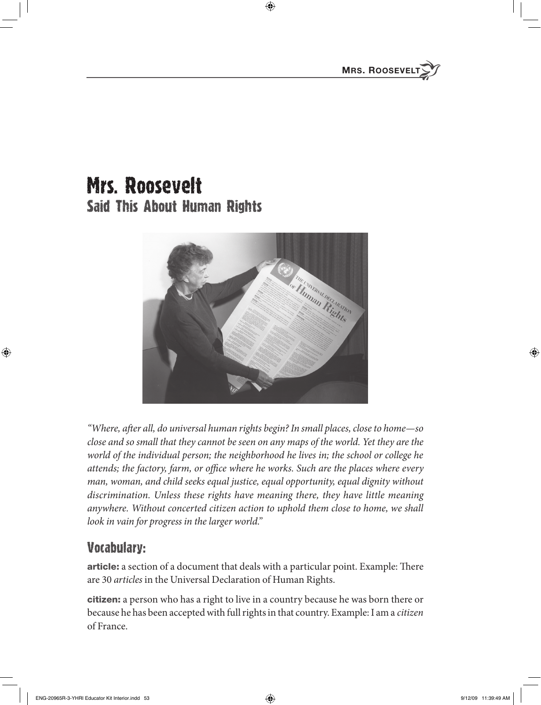## mrs. Roosevelt Said This About Human Rights



*"Where, after all, do universal human rights begin? In small places, close to home—so close and so small that they cannot be seen on any maps of the world. Yet they are the world of the individual person; the neighborhood he lives in; the school or college he*  attends; the factory, farm, or office where he works. Such are the places where every *man, woman, and child seeks equal justice, equal opportunity, equal dignity without discrimination. Unless these rights have meaning there, they have little meaning anywhere. Without concerted citizen action to uphold them close to home, we shall look in vain for progress in the larger world."*

## Vocabulary:

article: a section of a document that deals with a particular point. Example: There are 30 *articles* in the Universal Declaration of Human Rights.

citizen: a person who has a right to live in a country because he was born there or because he has been accepted with full rights in that country. Example: I am a *citizen* of France.